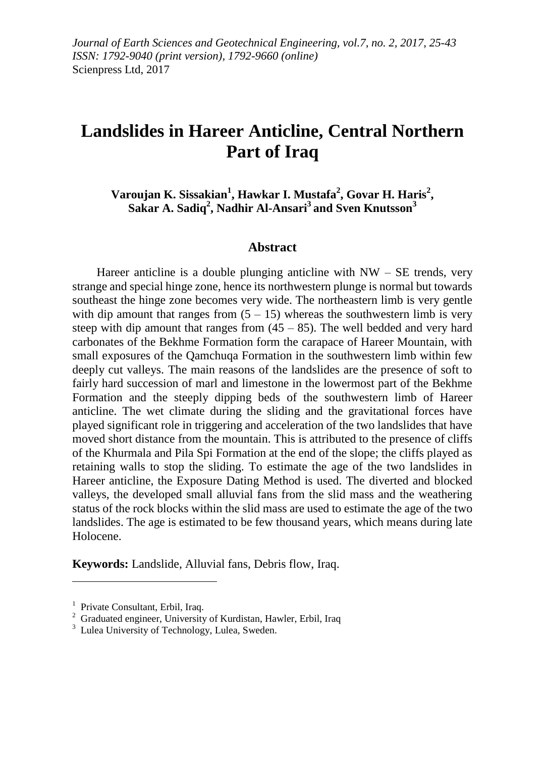# **Landslides in Hareer Anticline, Central Northern Part of Iraq**

**Varoujan K. Sissakian<sup>1</sup> , Hawkar I. Mustafa<sup>2</sup> , Govar H. Haris<sup>2</sup> , Sakar A. Sadiq<sup>2</sup> , Nadhir Al-Ansari<sup>3</sup> and Sven Knutsson<sup>3</sup>**

#### **Abstract**

Hareer anticline is a double plunging anticline with  $NW - SE$  trends, very strange and special hinge zone, hence its northwestern plunge is normal but towards southeast the hinge zone becomes very wide. The northeastern limb is very gentle with dip amount that ranges from  $(5 - 15)$  whereas the southwestern limb is very steep with dip amount that ranges from  $(45 - 85)$ . The well bedded and very hard carbonates of the Bekhme Formation form the carapace of Hareer Mountain, with small exposures of the Qamchuqa Formation in the southwestern limb within few deeply cut valleys. The main reasons of the landslides are the presence of soft to fairly hard succession of marl and limestone in the lowermost part of the Bekhme Formation and the steeply dipping beds of the southwestern limb of Hareer anticline. The wet climate during the sliding and the gravitational forces have played significant role in triggering and acceleration of the two landslides that have moved short distance from the mountain. This is attributed to the presence of cliffs of the Khurmala and Pila Spi Formation at the end of the slope; the cliffs played as retaining walls to stop the sliding. To estimate the age of the two landslides in Hareer anticline, the Exposure Dating Method is used. The diverted and blocked valleys, the developed small alluvial fans from the slid mass and the weathering status of the rock blocks within the slid mass are used to estimate the age of the two landslides. The age is estimated to be few thousand years, which means during late Holocene.

**Keywords:** Landslide, Alluvial fans, Debris flow, Iraq.

1

<sup>&</sup>lt;sup>1</sup> Private Consultant, Erbil, Iraq.

<sup>2</sup> Graduated engineer, University of Kurdistan, Hawler, Erbil, Iraq

<sup>&</sup>lt;sup>3</sup> Lulea University of Technology, Lulea, Sweden.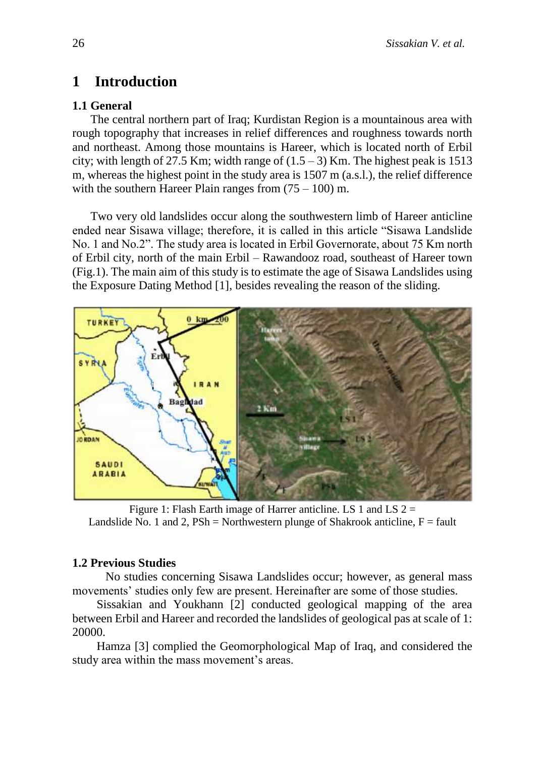# **1 Introduction**

## **1.1 General**

The central northern part of Iraq; Kurdistan Region is a mountainous area with rough topography that increases in relief differences and roughness towards north and northeast. Among those mountains is Hareer, which is located north of Erbil city; with length of 27.5 Km; width range of  $(1.5 - 3)$  Km. The highest peak is 1513 m, whereas the highest point in the study area is 1507 m (a.s.l.), the relief difference with the southern Hareer Plain ranges from  $(75 - 100)$  m.

Two very old landslides occur along the southwestern limb of Hareer anticline ended near Sisawa village; therefore, it is called in this article "Sisawa Landslide No. 1 and No.2". The study area is located in Erbil Governorate, about 75 Km north of Erbil city, north of the main Erbil – Rawandooz road, southeast of Hareer town (Fig.1). The main aim of this study is to estimate the age of Sisawa Landslides using the Exposure Dating Method [1], besides revealing the reason of the sliding.



Figure 1: Flash Earth image of Harrer anticline. LS 1 and LS  $2 =$ Landslide No. 1 and 2,  $PSh = \text{Northwestern plunge of Shakrook anticline}, F = \text{fault}$ 

## **1.2 Previous Studies**

 No studies concerning Sisawa Landslides occur; however, as general mass movements' studies only few are present. Hereinafter are some of those studies.

Sissakian and Youkhann [2] conducted geological mapping of the area between Erbil and Hareer and recorded the landslides of geological pas at scale of 1: 20000.

Hamza [3] complied the Geomorphological Map of Iraq, and considered the study area within the mass movement's areas.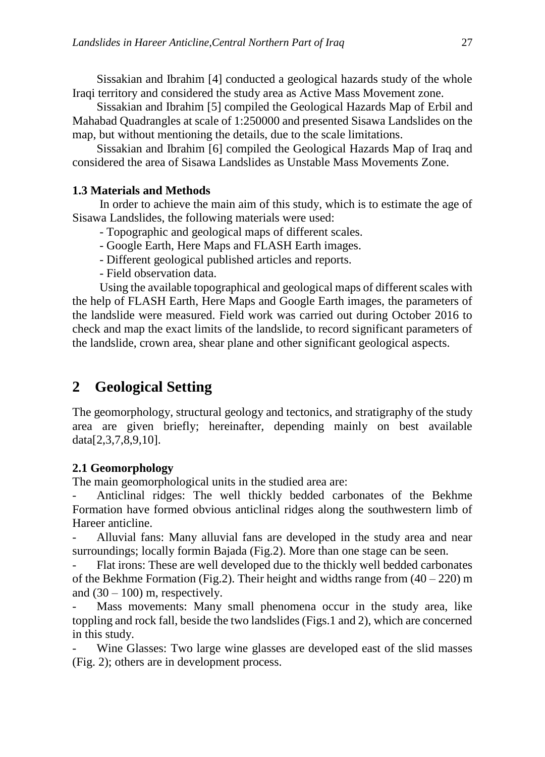Sissakian and Ibrahim [4] conducted a geological hazards study of the whole Iraqi territory and considered the study area as Active Mass Movement zone.

Sissakian and Ibrahim [5] compiled the Geological Hazards Map of Erbil and Mahabad Quadrangles at scale of 1:250000 and presented Sisawa Landslides on the map, but without mentioning the details, due to the scale limitations.

Sissakian and Ibrahim [6] compiled the Geological Hazards Map of Iraq and considered the area of Sisawa Landslides as Unstable Mass Movements Zone.

### **1.3 Materials and Methods**

In order to achieve the main aim of this study, which is to estimate the age of Sisawa Landslides, the following materials were used:

- Topographic and geological maps of different scales.

- Google Earth, Here Maps and FLASH Earth images.

- Different geological published articles and reports.

- Field observation data.

Using the available topographical and geological maps of different scales with the help of FLASH Earth, Here Maps and Google Earth images, the parameters of the landslide were measured. Field work was carried out during October 2016 to check and map the exact limits of the landslide, to record significant parameters of the landslide, crown area, shear plane and other significant geological aspects.

# **2 Geological Setting**

The geomorphology, structural geology and tectonics, and stratigraphy of the study area are given briefly; hereinafter, depending mainly on best available data[2,3,7,8,9,10].

### **2.1 Geomorphology**

The main geomorphological units in the studied area are:

Anticlinal ridges: The well thickly bedded carbonates of the Bekhme Formation have formed obvious anticlinal ridges along the southwestern limb of Hareer anticline.

Alluvial fans: Many alluvial fans are developed in the study area and near surroundings; locally formin Bajada (Fig.2). More than one stage can be seen.

Flat irons: These are well developed due to the thickly well bedded carbonates of the Bekhme Formation (Fig.2). Their height and widths range from  $(40 - 220)$  m and  $(30 - 100)$  m, respectively.

Mass movements: Many small phenomena occur in the study area, like toppling and rock fall, beside the two landslides (Figs.1 and 2), which are concerned in this study.

Wine Glasses: Two large wine glasses are developed east of the slid masses (Fig. 2); others are in development process.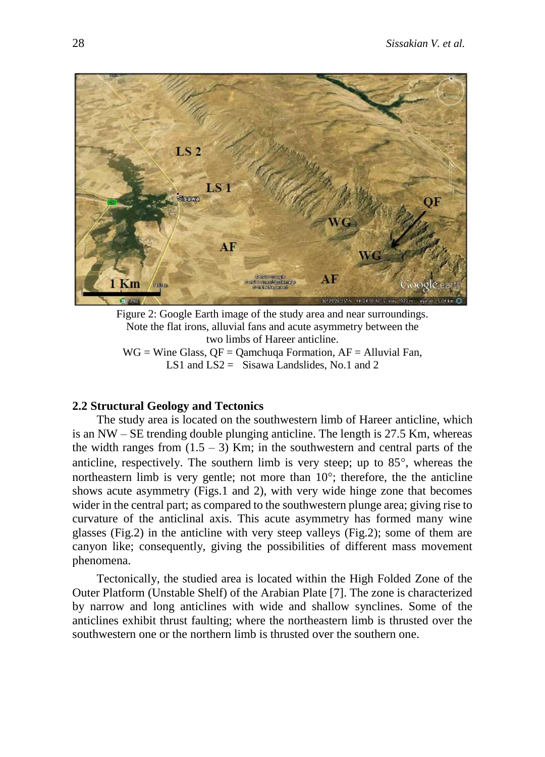

Figure 2: Google Earth image of the study area and near surroundings. Note the flat irons, alluvial fans and acute asymmetry between the two limbs of Hareer anticline.  $WG = Wine Glass, QF = Qamchuqa Formation, AF = Alluvial Fan,$ LS1 and  $LS2 =$  Sisawa Landslides, No.1 and 2

#### **2.2 Structural Geology and Tectonics**

The study area is located on the southwestern limb of Hareer anticline, which is an NW – SE trending double plunging anticline. The length is 27.5 Km, whereas the width ranges from  $(1.5 - 3)$  Km; in the southwestern and central parts of the anticline, respectively. The southern limb is very steep; up to  $85^\circ$ , whereas the northeastern limb is very gentle; not more than  $10^{\circ}$ ; therefore, the the anticline shows acute asymmetry (Figs.1 and 2), with very wide hinge zone that becomes wider in the central part; as compared to the southwestern plunge area; giving rise to curvature of the anticlinal axis. This acute asymmetry has formed many wine glasses (Fig.2) in the anticline with very steep valleys (Fig.2); some of them are canyon like; consequently, giving the possibilities of different mass movement phenomena.

Tectonically, the studied area is located within the High Folded Zone of the Outer Platform (Unstable Shelf) of the Arabian Plate [7]. The zone is characterized by narrow and long anticlines with wide and shallow synclines. Some of the anticlines exhibit thrust faulting; where the northeastern limb is thrusted over the southwestern one or the northern limb is thrusted over the southern one.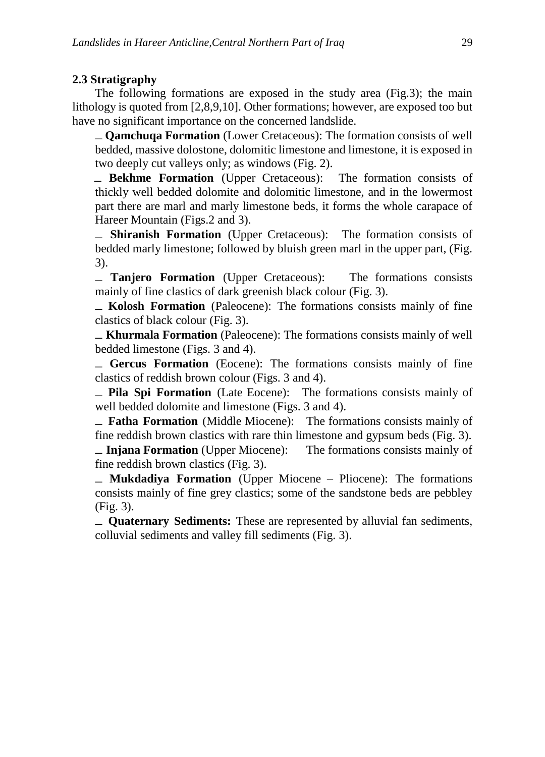#### **2.3 Stratigraphy**

The following formations are exposed in the study area (Fig.3); the main lithology is quoted from [2,8,9,10]. Other formations; however, are exposed too but have no significant importance on the concerned landslide.

ـ **Qamchuqa Formation** (Lower Cretaceous): The formation consists of well bedded, massive dolostone, dolomitic limestone and limestone, it is exposed in two deeply cut valleys only; as windows (Fig. 2).

 ـ **Bekhme Formation** (Upper Cretaceous):The formation consists of thickly well bedded dolomite and dolomitic limestone, and in the lowermost part there are marl and marly limestone beds, it forms the whole carapace of Hareer Mountain (Figs.2 and 3).

ـ **Shiranish Formation** (Upper Cretaceous):The formation consists of bedded marly limestone; followed by bluish green marl in the upper part, (Fig. 3).

ـ **Tanjero Formation** (Upper Cretaceous):The formations consists mainly of fine clastics of dark greenish black colour (Fig. 3).

ـ **Kolosh Formation** (Paleocene): The formations consists mainly of fine clastics of black colour (Fig. 3).

ـ **Khurmala Formation** (Paleocene): The formations consists mainly of well bedded limestone (Figs. 3 and 4).

ـ **Gercus Formation** (Eocene): The formations consists mainly of fine clastics of reddish brown colour (Figs. 3 and 4).

ـ **Pila Spi Formation** (Late Eocene):The formations consists mainly of well bedded dolomite and limestone (Figs. 3 and 4).

ـ **Fatha Formation** (Middle Miocene):The formations consists mainly of fine reddish brown clastics with rare thin limestone and gypsum beds (Fig. 3).

ـ **Injana Formation** (Upper Miocene):The formations consists mainly of fine reddish brown clastics (Fig. 3).

ـ **Mukdadiya Formation** (Upper Miocene – Pliocene): The formations consists mainly of fine grey clastics; some of the sandstone beds are pebbley (Fig. 3).

ـ **Quaternary Sediments:** These are represented by alluvial fan sediments, colluvial sediments and valley fill sediments (Fig. 3).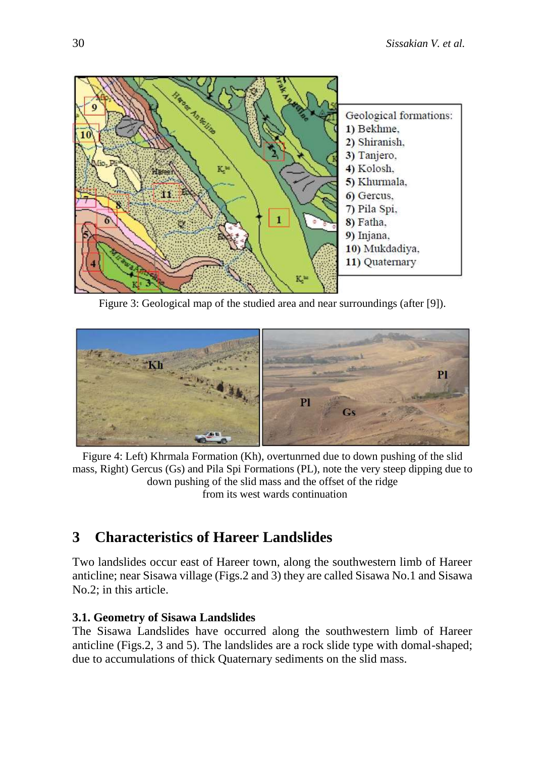

Figure 3: Geological map of the studied area and near surroundings (after [9]).



Figure 4: Left) Khrmala Formation (Kh), overtunrned due to down pushing of the slid mass, Right) Gercus (Gs) and Pila Spi Formations (PL), note the very steep dipping due to down pushing of the slid mass and the offset of the ridge from its west wards continuation

# **3 Characteristics of Hareer Landslides**

Two landslides occur east of Hareer town, along the southwestern limb of Hareer anticline; near Sisawa village (Figs.2 and 3) they are called Sisawa No.1 and Sisawa No.2; in this article.

### **3.1. Geometry of Sisawa Landslides**

The Sisawa Landslides have occurred along the southwestern limb of Hareer anticline (Figs.2, 3 and 5). The landslides are a rock slide type with domal-shaped; due to accumulations of thick Quaternary sediments on the slid mass.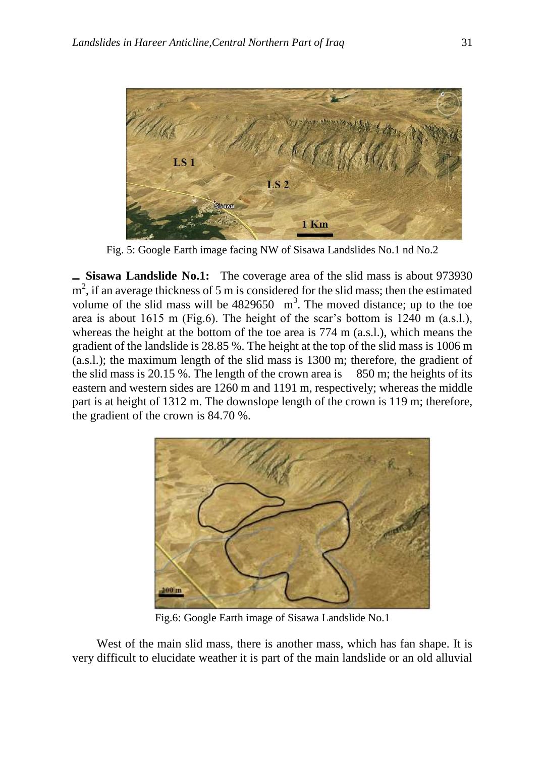

Fig. 5: Google Earth image facing NW of Sisawa Landslides No.1 nd No.2

**ـ Sisawa Landslide No.1:** The coverage area of the slid mass is about 973930  $m<sup>2</sup>$ , if an average thickness of 5 m is considered for the slid mass; then the estimated volume of the slid mass will be  $4829650 \text{ m}^3$ . The moved distance; up to the toe area is about 1615 m (Fig.6). The height of the scar's bottom is 1240 m (a.s.l.), whereas the height at the bottom of the toe area is 774 m (a.s.l.), which means the gradient of the landslide is 28.85 %. The height at the top of the slid mass is 1006 m (a.s.l.); the maximum length of the slid mass is 1300 m; therefore, the gradient of the slid mass is 20.15 %. The length of the crown area is 850 m; the heights of its eastern and western sides are 1260 m and 1191 m, respectively; whereas the middle part is at height of 1312 m. The downslope length of the crown is 119 m; therefore, the gradient of the crown is 84.70 %.



Fig.6: Google Earth image of Sisawa Landslide No.1

West of the main slid mass, there is another mass, which has fan shape. It is very difficult to elucidate weather it is part of the main landslide or an old alluvial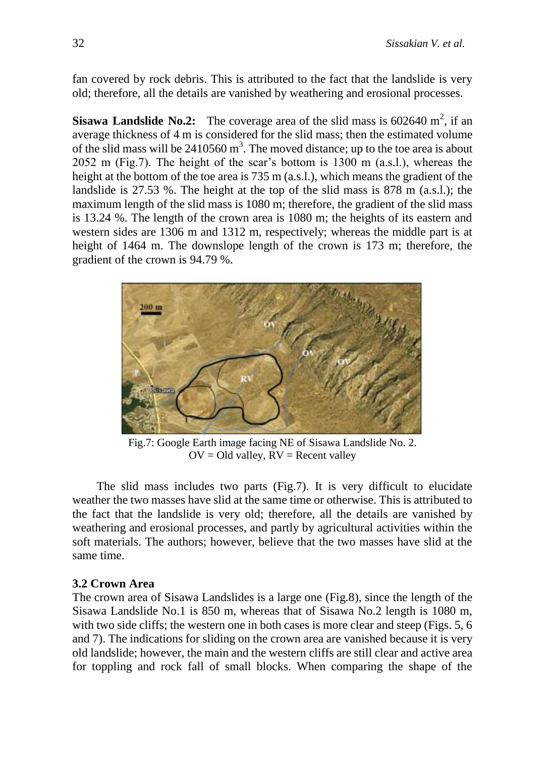fan covered by rock debris. This is attributed to the fact that the landslide is very old; therefore, all the details are vanished by weathering and erosional processes.

**Sisawa Landslide No.2:** The coverage area of the slid mass is  $602640 \text{ m}^2$ , if an average thickness of 4 m is considered for the slid mass; then the estimated volume of the slid mass will be  $2410560 \text{ m}^3$ . The moved distance; up to the toe area is about 2052 m (Fig.7). The height of the scar's bottom is 1300 m (a.s.l.), whereas the height at the bottom of the toe area is 735 m (a.s.l.), which means the gradient of the landslide is 27.53 %. The height at the top of the slid mass is 878 m (a.s.l.); the maximum length of the slid mass is 1080 m; therefore, the gradient of the slid mass is 13.24 %. The length of the crown area is 1080 m; the heights of its eastern and western sides are 1306 m and 1312 m, respectively; whereas the middle part is at height of 1464 m. The downslope length of the crown is 173 m; therefore, the gradient of the crown is 94.79 %.



Fig.7: Google Earth image facing NE of Sisawa Landslide No. 2.  $OV = Old$  valley,  $RV = Recent$  valley

The slid mass includes two parts (Fig.7). It is very difficult to elucidate weather the two masses have slid at the same time or otherwise. This is attributed to the fact that the landslide is very old; therefore, all the details are vanished by weathering and erosional processes, and partly by agricultural activities within the soft materials. The authors; however, believe that the two masses have slid at the same time.

### **3.2 Crown Area**

The crown area of Sisawa Landslides is a large one (Fig.8), since the length of the Sisawa Landslide No.1 is 850 m, whereas that of Sisawa No.2 length is 1080 m, with two side cliffs; the western one in both cases is more clear and steep (Figs. 5, 6) and 7). The indications for sliding on the crown area are vanished because it is very old landslide; however, the main and the western cliffs are still clear and active area for toppling and rock fall of small blocks. When comparing the shape of the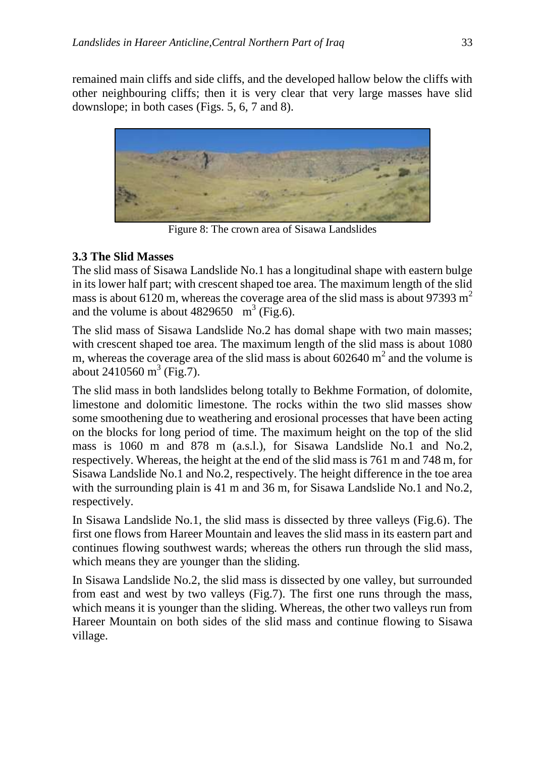remained main cliffs and side cliffs, and the developed hallow below the cliffs with other neighbouring cliffs; then it is very clear that very large masses have slid downslope; in both cases (Figs. 5, 6, 7 and 8).



Figure 8: The crown area of Sisawa Landslides

## **3.3 The Slid Masses**

The slid mass of Sisawa Landslide No.1 has a longitudinal shape with eastern bulge in its lower half part; with crescent shaped toe area. The maximum length of the slid mass is about 6120 m, whereas the coverage area of the slid mass is about 97393 m<sup>2</sup> and the volume is about  $4829650 \text{ m}^3$  (Fig.6).

The slid mass of Sisawa Landslide No.2 has domal shape with two main masses; with crescent shaped toe area. The maximum length of the slid mass is about 1080 m, whereas the coverage area of the slid mass is about  $602640 \text{ m}^2$  and the volume is about 2410560  $m^3$  (Fig.7).

The slid mass in both landslides belong totally to Bekhme Formation, of dolomite, limestone and dolomitic limestone. The rocks within the two slid masses show some smoothening due to weathering and erosional processes that have been acting on the blocks for long period of time. The maximum height on the top of the slid mass is 1060 m and 878 m (a.s.l.), for Sisawa Landslide No.1 and No.2, respectively. Whereas, the height at the end of the slid mass is 761 m and 748 m, for Sisawa Landslide No.1 and No.2, respectively. The height difference in the toe area with the surrounding plain is 41 m and 36 m, for Sisawa Landslide No.1 and No.2, respectively.

In Sisawa Landslide No.1, the slid mass is dissected by three valleys (Fig.6). The first one flows from Hareer Mountain and leaves the slid mass in its eastern part and continues flowing southwest wards; whereas the others run through the slid mass, which means they are younger than the sliding.

In Sisawa Landslide No.2, the slid mass is dissected by one valley, but surrounded from east and west by two valleys (Fig.7). The first one runs through the mass, which means it is younger than the sliding. Whereas, the other two valleys run from Hareer Mountain on both sides of the slid mass and continue flowing to Sisawa village.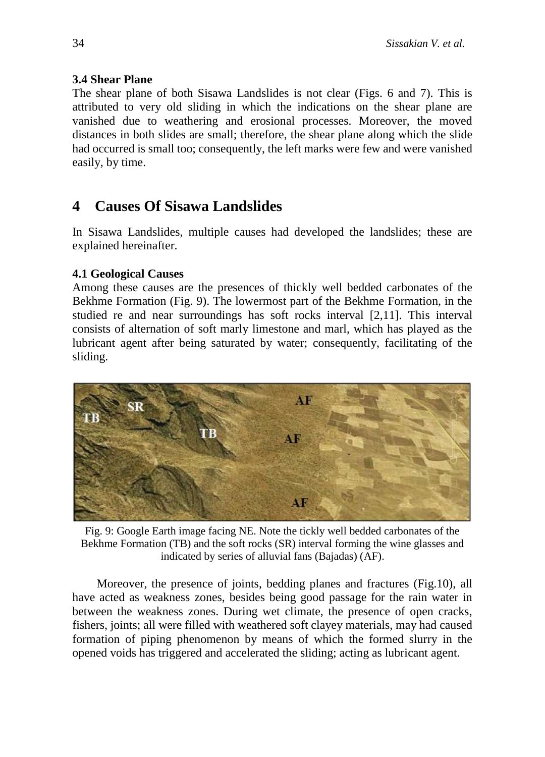## **3.4 Shear Plane**

The shear plane of both Sisawa Landslides is not clear (Figs. 6 and 7). This is attributed to very old sliding in which the indications on the shear plane are vanished due to weathering and erosional processes. Moreover, the moved distances in both slides are small; therefore, the shear plane along which the slide had occurred is small too; consequently, the left marks were few and were vanished easily, by time.

# **4 Causes Of Sisawa Landslides**

In Sisawa Landslides, multiple causes had developed the landslides; these are explained hereinafter.

## **4.1 Geological Causes**

Among these causes are the presences of thickly well bedded carbonates of the Bekhme Formation (Fig. 9). The lowermost part of the Bekhme Formation, in the studied re and near surroundings has soft rocks interval [2,11]. This interval consists of alternation of soft marly limestone and marl, which has played as the lubricant agent after being saturated by water; consequently, facilitating of the sliding.



Fig. 9: Google Earth image facing NE. Note the tickly well bedded carbonates of the Bekhme Formation (TB) and the soft rocks (SR) interval forming the wine glasses and indicated by series of alluvial fans (Bajadas) (AF).

Moreover, the presence of joints, bedding planes and fractures (Fig.10), all have acted as weakness zones, besides being good passage for the rain water in between the weakness zones. During wet climate, the presence of open cracks, fishers, joints; all were filled with weathered soft clayey materials, may had caused formation of piping phenomenon by means of which the formed slurry in the opened voids has triggered and accelerated the sliding; acting as lubricant agent.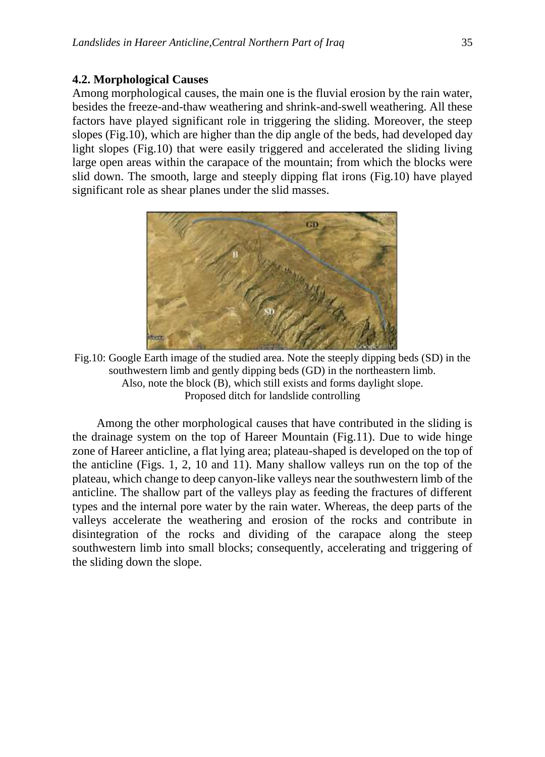#### **4.2. Morphological Causes**

Among morphological causes, the main one is the fluvial erosion by the rain water, besides the freeze-and-thaw weathering and shrink-and-swell weathering. All these factors have played significant role in triggering the sliding. Moreover, the steep slopes (Fig.10), which are higher than the dip angle of the beds, had developed day light slopes (Fig.10) that were easily triggered and accelerated the sliding living large open areas within the carapace of the mountain; from which the blocks were slid down. The smooth, large and steeply dipping flat irons (Fig.10) have played significant role as shear planes under the slid masses.



Fig.10: Google Earth image of the studied area. Note the steeply dipping beds (SD) in the southwestern limb and gently dipping beds (GD) in the northeastern limb. Also, note the block (B), which still exists and forms daylight slope. Proposed ditch for landslide controlling

Among the other morphological causes that have contributed in the sliding is the drainage system on the top of Hareer Mountain (Fig.11). Due to wide hinge zone of Hareer anticline, a flat lying area; plateau-shaped is developed on the top of the anticline (Figs. 1, 2, 10 and 11). Many shallow valleys run on the top of the plateau, which change to deep canyon-like valleys near the southwestern limb of the anticline. The shallow part of the valleys play as feeding the fractures of different types and the internal pore water by the rain water. Whereas, the deep parts of the valleys accelerate the weathering and erosion of the rocks and contribute in disintegration of the rocks and dividing of the carapace along the steep southwestern limb into small blocks; consequently, accelerating and triggering of the sliding down the slope.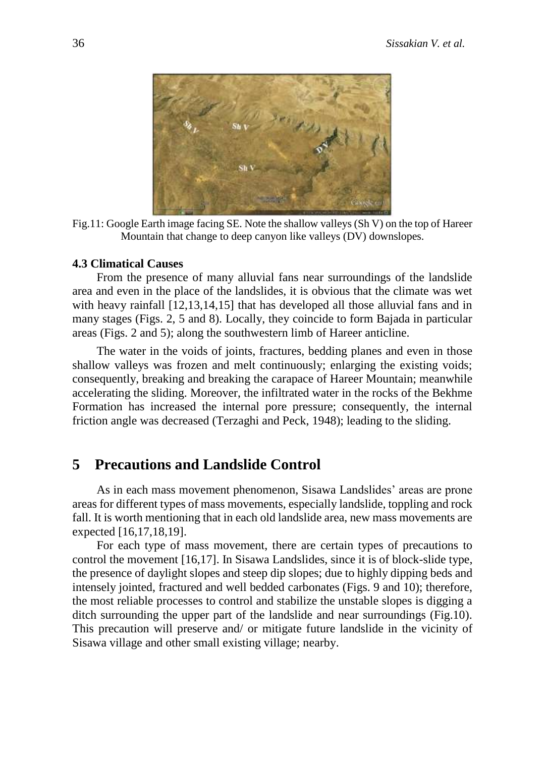

Fig.11: Google Earth image facing SE. Note the shallow valleys (Sh V) on the top of Hareer Mountain that change to deep canyon like valleys (DV) downslopes.

#### **4.3 Climatical Causes**

From the presence of many alluvial fans near surroundings of the landslide area and even in the place of the landslides, it is obvious that the climate was wet with heavy rainfall [12,13,14,15] that has developed all those alluvial fans and in many stages (Figs. 2, 5 and 8). Locally, they coincide to form Bajada in particular areas (Figs. 2 and 5); along the southwestern limb of Hareer anticline.

The water in the voids of joints, fractures, bedding planes and even in those shallow valleys was frozen and melt continuously; enlarging the existing voids; consequently, breaking and breaking the carapace of Hareer Mountain; meanwhile accelerating the sliding. Moreover, the infiltrated water in the rocks of the Bekhme Formation has increased the internal pore pressure; consequently, the internal friction angle was decreased (Terzaghi and Peck, 1948); leading to the sliding.

## **5 Precautions and Landslide Control**

As in each mass movement phenomenon, Sisawa Landslides' areas are prone areas for different types of mass movements, especially landslide, toppling and rock fall. It is worth mentioning that in each old landslide area, new mass movements are expected [16,17,18,19].

For each type of mass movement, there are certain types of precautions to control the movement [16,17]. In Sisawa Landslides, since it is of block-slide type, the presence of daylight slopes and steep dip slopes; due to highly dipping beds and intensely jointed, fractured and well bedded carbonates (Figs. 9 and 10); therefore, the most reliable processes to control and stabilize the unstable slopes is digging a ditch surrounding the upper part of the landslide and near surroundings (Fig.10). This precaution will preserve and/ or mitigate future landslide in the vicinity of Sisawa village and other small existing village; nearby.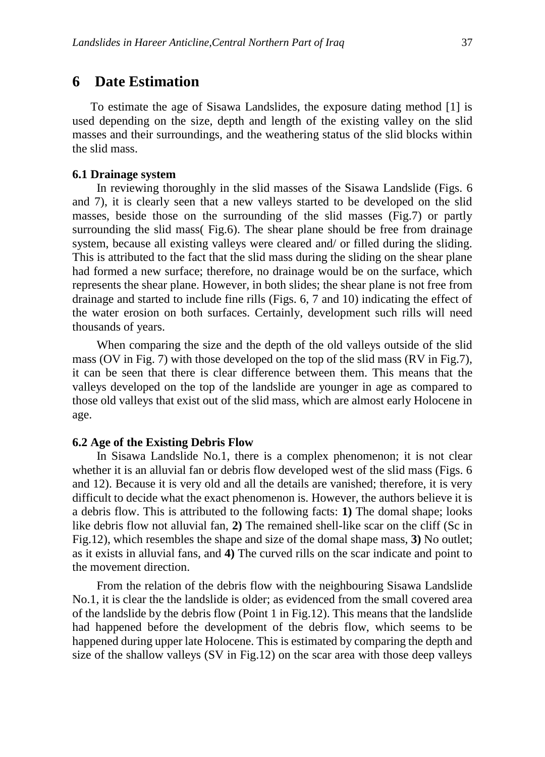To estimate the age of Sisawa Landslides, the exposure dating method [1] is used depending on the size, depth and length of the existing valley on the slid masses and their surroundings, and the weathering status of the slid blocks within the slid mass.

#### **6.1 Drainage system**

In reviewing thoroughly in the slid masses of the Sisawa Landslide (Figs. 6 and 7), it is clearly seen that a new valleys started to be developed on the slid masses, beside those on the surrounding of the slid masses (Fig.7) or partly surrounding the slid mass( Fig.6). The shear plane should be free from drainage system, because all existing valleys were cleared and/ or filled during the sliding. This is attributed to the fact that the slid mass during the sliding on the shear plane had formed a new surface; therefore, no drainage would be on the surface, which represents the shear plane. However, in both slides; the shear plane is not free from drainage and started to include fine rills (Figs. 6, 7 and 10) indicating the effect of the water erosion on both surfaces. Certainly, development such rills will need thousands of years.

When comparing the size and the depth of the old valleys outside of the slid mass (OV in Fig. 7) with those developed on the top of the slid mass (RV in Fig.7), it can be seen that there is clear difference between them. This means that the valleys developed on the top of the landslide are younger in age as compared to those old valleys that exist out of the slid mass, which are almost early Holocene in age.

#### **6.2 Age of the Existing Debris Flow**

In Sisawa Landslide No.1, there is a complex phenomenon; it is not clear whether it is an alluvial fan or debris flow developed west of the slid mass (Figs. 6 and 12). Because it is very old and all the details are vanished; therefore, it is very difficult to decide what the exact phenomenon is. However, the authors believe it is a debris flow. This is attributed to the following facts: **1)** The domal shape; looks like debris flow not alluvial fan, **2)** The remained shell-like scar on the cliff (Sc in Fig.12), which resembles the shape and size of the domal shape mass, **3)** No outlet; as it exists in alluvial fans, and **4)** The curved rills on the scar indicate and point to the movement direction.

From the relation of the debris flow with the neighbouring Sisawa Landslide No.1, it is clear the the landslide is older; as evidenced from the small covered area of the landslide by the debris flow (Point 1 in Fig.12). This means that the landslide had happened before the development of the debris flow, which seems to be happened during upper late Holocene. This is estimated by comparing the depth and size of the shallow valleys (SV in Fig.12) on the scar area with those deep valleys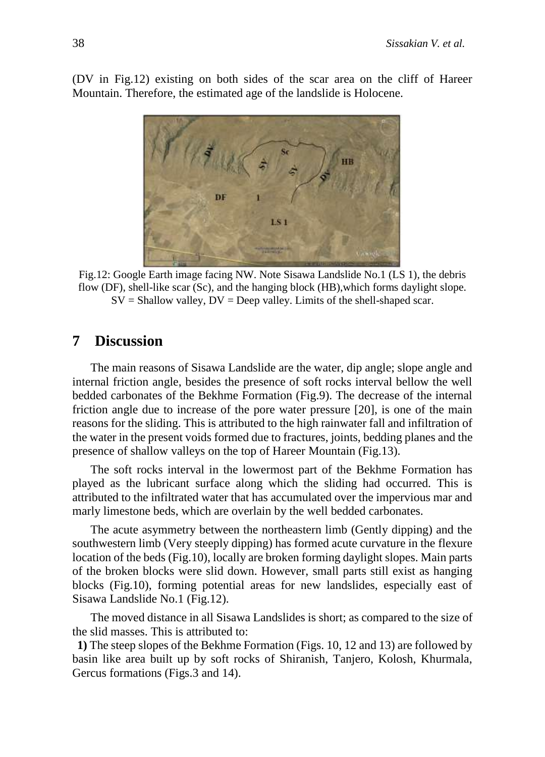(DV in Fig.12) existing on both sides of the scar area on the cliff of Hareer Mountain. Therefore, the estimated age of the landslide is Holocene.



Fig.12: Google Earth image facing NW. Note Sisawa Landslide No.1 (LS 1), the debris flow (DF), shell-like scar (Sc), and the hanging block (HB),which forms daylight slope.  $SV = Shallow$  valley,  $DV = Deep$  valley. Limits of the shell-shaped scar.

## **7 Discussion**

The main reasons of Sisawa Landslide are the water, dip angle; slope angle and internal friction angle, besides the presence of soft rocks interval bellow the well bedded carbonates of the Bekhme Formation (Fig.9). The decrease of the internal friction angle due to increase of the pore water pressure [20], is one of the main reasons for the sliding. This is attributed to the high rainwater fall and infiltration of the water in the present voids formed due to fractures, joints, bedding planes and the presence of shallow valleys on the top of Hareer Mountain (Fig.13).

The soft rocks interval in the lowermost part of the Bekhme Formation has played as the lubricant surface along which the sliding had occurred. This is attributed to the infiltrated water that has accumulated over the impervious mar and marly limestone beds, which are overlain by the well bedded carbonates.

The acute asymmetry between the northeastern limb (Gently dipping) and the southwestern limb (Very steeply dipping) has formed acute curvature in the flexure location of the beds (Fig.10), locally are broken forming daylight slopes. Main parts of the broken blocks were slid down. However, small parts still exist as hanging blocks (Fig.10), forming potential areas for new landslides, especially east of Sisawa Landslide No.1 (Fig.12).

The moved distance in all Sisawa Landslides is short; as compared to the size of the slid masses. This is attributed to:

**1)** The steep slopes of the Bekhme Formation (Figs. 10, 12 and 13) are followed by basin like area built up by soft rocks of Shiranish, Tanjero, Kolosh, Khurmala, Gercus formations (Figs.3 and 14).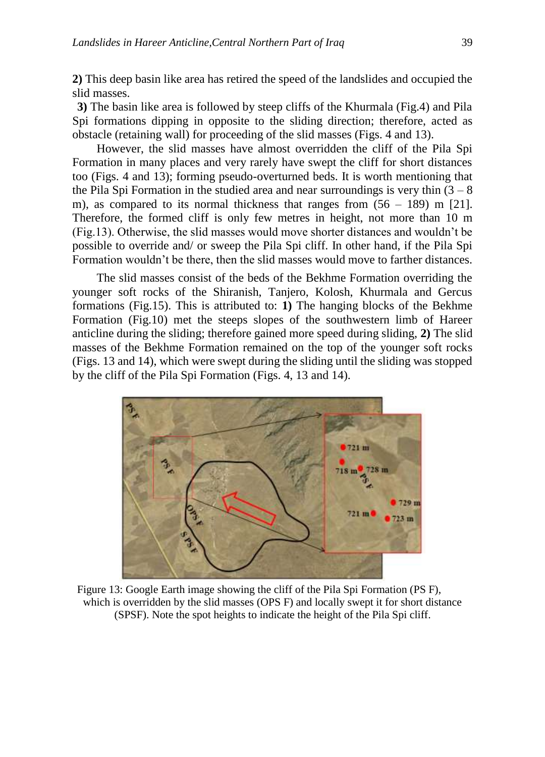**2)** This deep basin like area has retired the speed of the landslides and occupied the slid masses.

**3)** The basin like area is followed by steep cliffs of the Khurmala (Fig.4) and Pila Spi formations dipping in opposite to the sliding direction; therefore, acted as obstacle (retaining wall) for proceeding of the slid masses (Figs. 4 and 13).

However, the slid masses have almost overridden the cliff of the Pila Spi Formation in many places and very rarely have swept the cliff for short distances too (Figs. 4 and 13); forming pseudo-overturned beds. It is worth mentioning that the Pila Spi Formation in the studied area and near surroundings is very thin  $(3 - 8)$ m), as compared to its normal thickness that ranges from  $(56 - 189)$  m [21]. Therefore, the formed cliff is only few metres in height, not more than 10 m (Fig.13). Otherwise, the slid masses would move shorter distances and wouldn't be possible to override and/ or sweep the Pila Spi cliff. In other hand, if the Pila Spi Formation wouldn't be there, then the slid masses would move to farther distances.

The slid masses consist of the beds of the Bekhme Formation overriding the younger soft rocks of the Shiranish, Tanjero, Kolosh, Khurmala and Gercus formations (Fig.15). This is attributed to: **1)** The hanging blocks of the Bekhme Formation (Fig.10) met the steeps slopes of the southwestern limb of Hareer anticline during the sliding; therefore gained more speed during sliding, **2)** The slid masses of the Bekhme Formation remained on the top of the younger soft rocks (Figs. 13 and 14), which were swept during the sliding until the sliding was stopped by the cliff of the Pila Spi Formation (Figs. 4, 13 and 14).



Figure 13: Google Earth image showing the cliff of the Pila Spi Formation (PS F), which is overridden by the slid masses (OPS F) and locally swept it for short distance (SPSF). Note the spot heights to indicate the height of the Pila Spi cliff.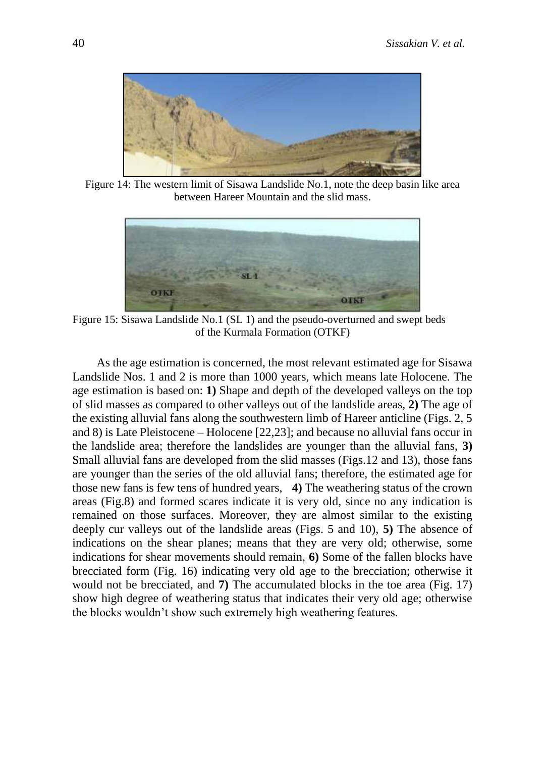

Figure 14: The western limit of Sisawa Landslide No.1, note the deep basin like area between Hareer Mountain and the slid mass.



Figure 15: Sisawa Landslide No.1 (SL 1) and the pseudo-overturned and swept beds of the Kurmala Formation (OTKF)

As the age estimation is concerned, the most relevant estimated age for Sisawa Landslide Nos. 1 and 2 is more than 1000 years, which means late Holocene. The age estimation is based on: **1)** Shape and depth of the developed valleys on the top of slid masses as compared to other valleys out of the landslide areas, **2)** The age of the existing alluvial fans along the southwestern limb of Hareer anticline (Figs. 2, 5 and 8) is Late Pleistocene – Holocene [22,23]; and because no alluvial fans occur in the landslide area; therefore the landslides are younger than the alluvial fans, **3)** Small alluvial fans are developed from the slid masses (Figs.12 and 13), those fans are younger than the series of the old alluvial fans; therefore, the estimated age for those new fans is few tens of hundred years, **4)** The weathering status of the crown areas (Fig.8) and formed scares indicate it is very old, since no any indication is remained on those surfaces. Moreover, they are almost similar to the existing deeply cur valleys out of the landslide areas (Figs. 5 and 10), **5)** The absence of indications on the shear planes; means that they are very old; otherwise, some indications for shear movements should remain, **6)** Some of the fallen blocks have brecciated form (Fig. 16) indicating very old age to the brecciation; otherwise it would not be brecciated, and **7)** The accumulated blocks in the toe area (Fig. 17) show high degree of weathering status that indicates their very old age; otherwise the blocks wouldn't show such extremely high weathering features.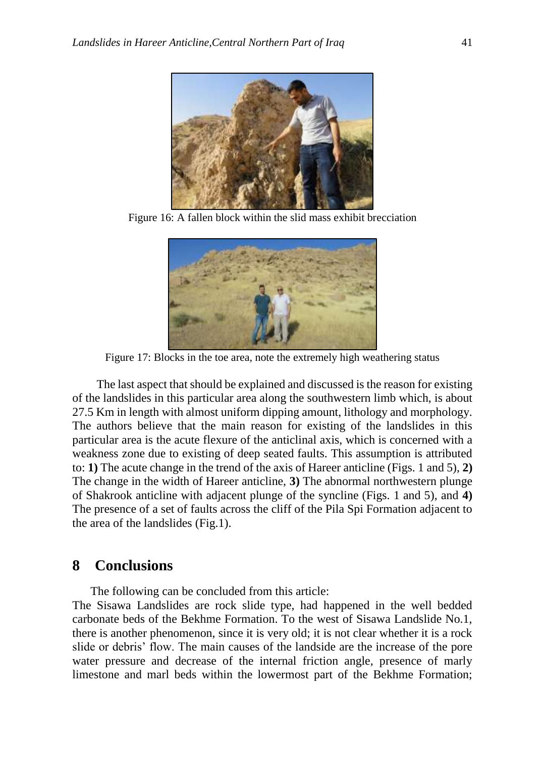

Figure 16: A fallen block within the slid mass exhibit brecciation



Figure 17: Blocks in the toe area, note the extremely high weathering status

The last aspect that should be explained and discussed is the reason for existing of the landslides in this particular area along the southwestern limb which, is about 27.5 Km in length with almost uniform dipping amount, lithology and morphology. The authors believe that the main reason for existing of the landslides in this particular area is the acute flexure of the anticlinal axis, which is concerned with a weakness zone due to existing of deep seated faults. This assumption is attributed to: **1)** The acute change in the trend of the axis of Hareer anticline (Figs. 1 and 5), **2)** The change in the width of Hareer anticline, **3)** The abnormal northwestern plunge of Shakrook anticline with adjacent plunge of the syncline (Figs. 1 and 5), and **4)** The presence of a set of faults across the cliff of the Pila Spi Formation adjacent to the area of the landslides (Fig.1).

## **8 Conclusions**

The following can be concluded from this article:

The Sisawa Landslides are rock slide type, had happened in the well bedded carbonate beds of the Bekhme Formation. To the west of Sisawa Landslide No.1, there is another phenomenon, since it is very old; it is not clear whether it is a rock slide or debris' flow. The main causes of the landside are the increase of the pore water pressure and decrease of the internal friction angle, presence of marly limestone and marl beds within the lowermost part of the Bekhme Formation;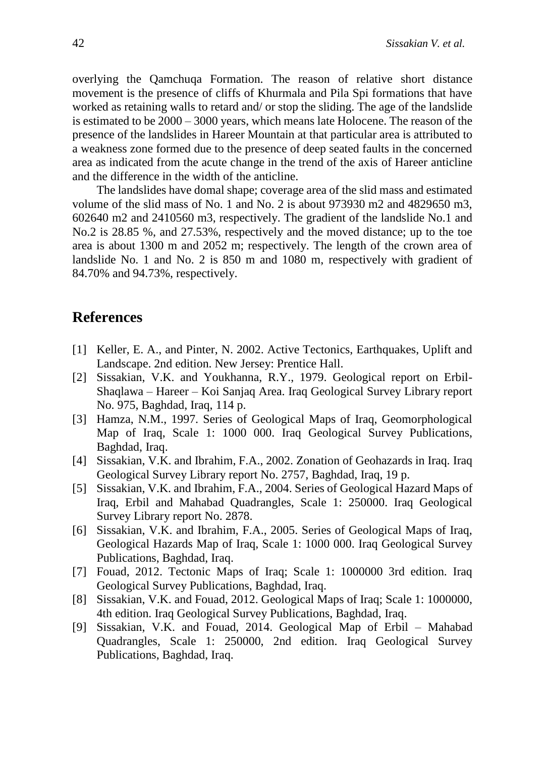overlying the Qamchuqa Formation. The reason of relative short distance movement is the presence of cliffs of Khurmala and Pila Spi formations that have worked as retaining walls to retard and/ or stop the sliding. The age of the landslide is estimated to be 2000 – 3000 years, which means late Holocene. The reason of the presence of the landslides in Hareer Mountain at that particular area is attributed to a weakness zone formed due to the presence of deep seated faults in the concerned area as indicated from the acute change in the trend of the axis of Hareer anticline and the difference in the width of the anticline.

The landslides have domal shape; coverage area of the slid mass and estimated volume of the slid mass of No. 1 and No. 2 is about 973930 m2 and 4829650 m3, 602640 m2 and 2410560 m3, respectively. The gradient of the landslide No.1 and No.2 is 28.85 %, and 27.53%, respectively and the moved distance; up to the toe area is about 1300 m and 2052 m; respectively. The length of the crown area of landslide No. 1 and No. 2 is 850 m and 1080 m, respectively with gradient of 84.70% and 94.73%, respectively.

# **References**

- [1] Keller, E. A., and Pinter, N. 2002. Active Tectonics, Earthquakes, Uplift and Landscape. 2nd edition. New Jersey: Prentice Hall.
- [2] Sissakian, V.K. and Youkhanna, R.Y., 1979. Geological report on Erbil-Shaqlawa – Hareer – Koi Sanjaq Area. Iraq Geological Survey Library report No. 975, Baghdad, Iraq, 114 p.
- [3] Hamza, N.M., 1997. Series of Geological Maps of Iraq, Geomorphological Map of Iraq, Scale 1: 1000 000. Iraq Geological Survey Publications, Baghdad, Iraq.
- [4] Sissakian, V.K. and Ibrahim, F.A., 2002. Zonation of Geohazards in Iraq. Iraq Geological Survey Library report No. 2757, Baghdad, Iraq, 19 p.
- [5] Sissakian, V.K. and Ibrahim, F.A., 2004. Series of Geological Hazard Maps of Iraq, Erbil and Mahabad Quadrangles, Scale 1: 250000. Iraq Geological Survey Library report No. 2878.
- [6] Sissakian, V.K. and Ibrahim, F.A., 2005. Series of Geological Maps of Iraq, Geological Hazards Map of Iraq, Scale 1: 1000 000. Iraq Geological Survey Publications, Baghdad, Iraq.
- [7] Fouad, 2012. Tectonic Maps of Iraq; Scale 1: 1000000 3rd edition. Iraq Geological Survey Publications, Baghdad, Iraq.
- [8] Sissakian, V.K. and Fouad, 2012. Geological Maps of Iraq; Scale 1: 1000000, 4th edition. Iraq Geological Survey Publications, Baghdad, Iraq.
- [9] Sissakian, V.K. and Fouad, 2014. Geological Map of Erbil Mahabad Quadrangles, Scale 1: 250000, 2nd edition. Iraq Geological Survey Publications, Baghdad, Iraq.